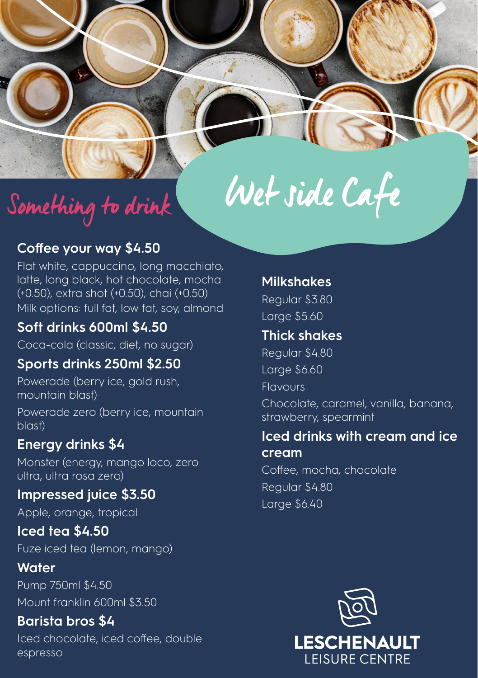# Wet side Cafe

# Something to drink

# **Coffee your way \$4.50**

Flat white, cappuccino, long macchiato, latte, long black, hot chocolate, mocha (+0.50), extra shot (+0.50), chai (+0.50) Milk options: full fat, low fat, soy, almond

# **Soft drinks 600ml \$4.50**

Coca-cola (classic, diet, no sugar)

# **Sports drinks 250ml \$2.50**

Powerade (berry ice, gold rush, mountain blast) Powerade zero (berry ice, mountain blast)

# **Energy drinks \$4**

Monster (energy, mango loco, zero ultra, ultra rosa zero)

# **Impressed juice \$3.50**

Apple, orange, tropical

#### **Iced tea \$4.50** Fuze iced tea (lemon, mango)

# **Water**

Pump 750ml \$4.50 Mount franklin 600ml \$3.50

#### **Barista bros \$4** Iced chocolate, iced coffee, double espresso

#### **Milkshakes**

Regular \$3.80 Large \$5.60

# **Thick shakes**

Regular \$4.80 Large \$6.60 Flavours Chocolate, caramel, vanilla, banana, strawberry, spearmint

#### **Iced drinks with cream and ice cream**

Coffee, mocha, chocolate Regular \$4.80 Large \$6.40